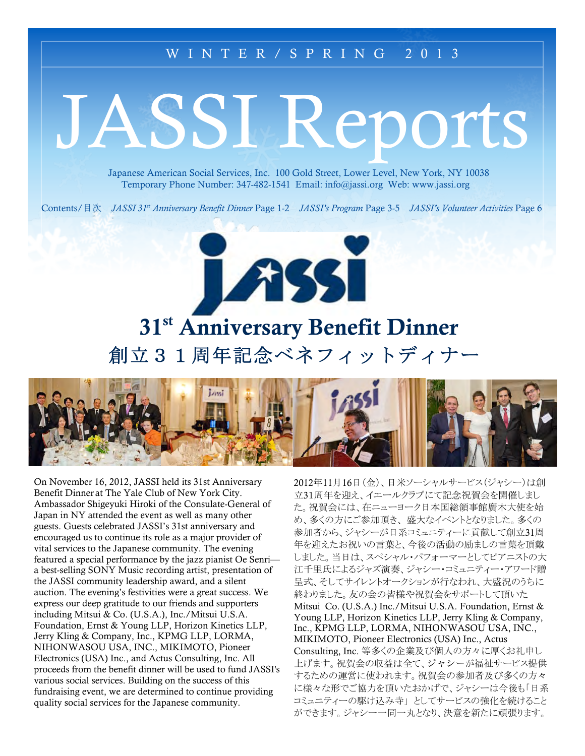## WINTER/SPRING 2013

# JASSI Reports

Japanese American Social Services, Inc. 100 Gold Street, Lower Level, New York, NY 10038 Temporary Phone Number: 347-482-1541 Email: info@jassi.org Web: www.jassi.org

Contents/目次 JASSI 31<sup>st</sup> Anniversary Benefit Dinner Page 1-2 JASSI's Program Page 3-5 JASSI's Volunteer Activities Page 6

# 31<sup>st</sup> Anniversary Benefit Dinner 創立31周年記念ベネフィットディナー

188



On November 16, 2012, JASSI held its 31st Anniversary Benefit Dinner at The Yale Club of New York City. Ambassador Shigeyuki Hiroki of the Consulate-General of Japan in NY attended the event as well as many other guests. Guests celebrated JASSI's 31st anniversary and encouraged us to continue its role as a major provider of vital services to the Japanese community. The evening featured a special performance by the jazz pianist Oe Senri a best-selling SONY Music recording artist, presentation of the JASSI community leadership award, and a silent auction. The evening's festivities were a great success. We express our deep gratitude to our friends and supporters including Mitsui & Co. (U.S.A.), Inc./Mitsui U.S.A. Foundation, Ernst & Young LLP, Horizon Kinetics LLP, Jerry Kling & Company, Inc., KPMG LLP, LORMA, NIHONWASOU USA, INC., MIKIMOTO, Pioneer Electronics (USA) Inc., and Actus Consulting, Inc. All proceeds from the benefit dinner will be used to fund JASSI's various social services. Building on the success of this fundraising event, we are determined to continue providing quality social services for the Japanese community.

2012年11月16日(金)、日米ソーシャルサービス(ジャシー)は創 立31周年を迎え、イエールクラブにて記念祝賀会を開催しまし た。祝賀会には、在ニューヨーク日本国総領事館廣木大使を始 め、多くの方にご参加頂き、盛大なイベントとなりました。多くの 参加者から、ジャシーが日系コミュニティーに貢献して創立31周 年を迎えたお祝いの言葉と、今後の活動の励ましの言葉を頂戴 しました。当日は、スペシャル・パフォーマーとしてピアニストの大 江千里氏によるジャズ演奏、ジャシー・コミュニティー・アワード贈 呈式、そしてサイレントオークションが行なわれ、大盛況のうちに 終わりました。友の会の皆様や祝賀会をサポートして頂いた Mitsui Co. (U.S.A.) Inc./Mitsui U.S.A. Foundation, Ernst & Young LLP, Horizon Kinetics LLP, Jerry Kling & Company, Inc., KPMG LLP, LORMA, NIHONWASOU USA, INC., MIKIMOTO, Pioneer Electronics (USA) Inc., Actus Consulting, Inc. 等多くの企業及び個人の方々に厚くお礼申し 上げます。祝賀会の収益は全て、ジャシーが福祉サービス提供 するための運営に使われます。祝賀会の参加者及び多くの方々 に様々な形でご協力を頂いたおかげで、ジャシーは今後も「日系 コミュニティーの駆け込み寺」としてサービスの強化を続けること ができます。ジャシー一同一丸となり、決意を新たに頑張ります。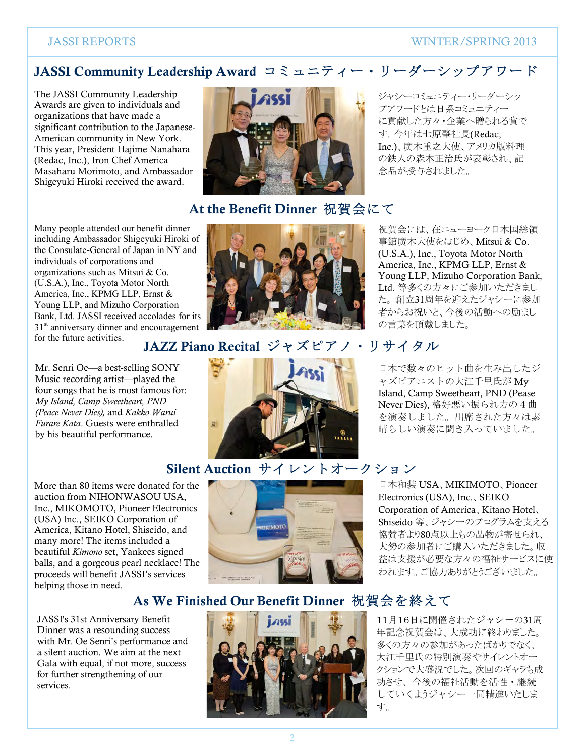#### **WINTER/SPRING 2013**

# JASSI Community Leadership Award コミュニティー・リーダーシップアワード

The JASSI Community Leadership Awards are given to individuals and organizations that have made a significant contribution to the Japanese-American community in New York. This year. President Haiime Nanahara (Redac, Inc.), Iron Chef America Masaharu Morimoto, and Ambassador Shigeyuki Hiroki received the award.

Many people attended our benefit dinner including Ambassador Shigeyuki Hiroki of the Consulate-General of Japan in NY and individuals of corporations and organizations such as Mitsui & Co. (U.S.A.), Inc., Toyota Motor North America, Inc., KPMG LLP, Ernst & Young LLP, and Mizuho Corporation Bank, Ltd. JASSI received accolades for its  $31<sup>st</sup>$  anniversary dinner and encouragement for the future activities.

Mr. Senri Oe—a best-selling SONY Music recording artist—played the four songs that he is most famous for: My Island, Camp Sweetheart, PND (Peace Never Dies), and Kakko Warui Furare Kata. Guests were enthralled by his beautiful performance.

More than 80 items were donated for the auction from NIHONWASOU USA. Inc., MIKOMOTO, Pioneer Electronics (USA) Inc., SEIKO Corporation of America, Kitano Hotel, Shiseido, and many more! The items included a beautiful Kimono set, Yankees signed balls, and a gorgeous pearl necklace! The proceeds will benefit JASSI's services helping those in need.

JASSI's 31st Anniversary Benefit Dinner was a resounding success with Mr. Oe Senri's performance and a silent auction. We aim at the next Gala with equal, if not more, success for further strengthening of our services.



# At the Benefit Dinner 祝賀会にて

ジャシーコミュニティー・リーダーシッ プアワードとは日系コミュニティー に貢献した方々・企業へ贈られる賞で す。今年は七原肇社長(Redac, Inc.)、廣木重之大使、アメリカ版料理 の鉄人の森本正治氏が表彰され、記 念品が授与されました。



祝賀会には、在ニューヨーク日本国総領 事館廣木大使をはじめ、Mitsui & Co. (U.S.A.), Inc., Toyota Motor North America, Inc., KPMG LLP, Ernst & Young LLP, Mizuho Corporation Bank, Ltd. 等多くの方々にご参加いただきまし た。創立31周年を迎えたジャシーに参加 者からお祝いと、今後の活動への励まし の言葉を頂戴しました。

日本で数々のヒット曲を生み出したジ

ャズピアニストの大江千里氏が Mv

Island, Camp Sweetheart, PND (Pease

Never Dies), 格好悪い振られ方の4曲

を演奏しました。出席された方々は素

晴らしい演奏に聞き入っていました。

#### JAZZ Piano Recital ジャズピアノ・リサイタル



Silent Auction サイレントオークション

日本和装 USA、MIKIMOTO、Pioneer Electronics (USA), Inc., SEIKO Corporation of America, Kitano Hotel, Shiseido 等、ジャシーのプログラムを支える 協賛者より80点以上もの品物が寄せられ、 大勢の参加者にご購入いただきました。収 益は支援が必要な方々の福祉サービスに使 われます。ご協力ありがとうございました。

# As We Finished Our Benefit Dinner 祝賀会を終えて



11月16日に開催されたジャシーの31周 年記念祝賀会は、大成功に終わりました。 多くの方々の参加があったばかりでなく、 大江千里氏の特別演奏やサイレントオー クションで大盛況でした。次回のギャラも成 功させ、今後の福祉活動を活性・継続 していくようジャシー一同精進いたしま す。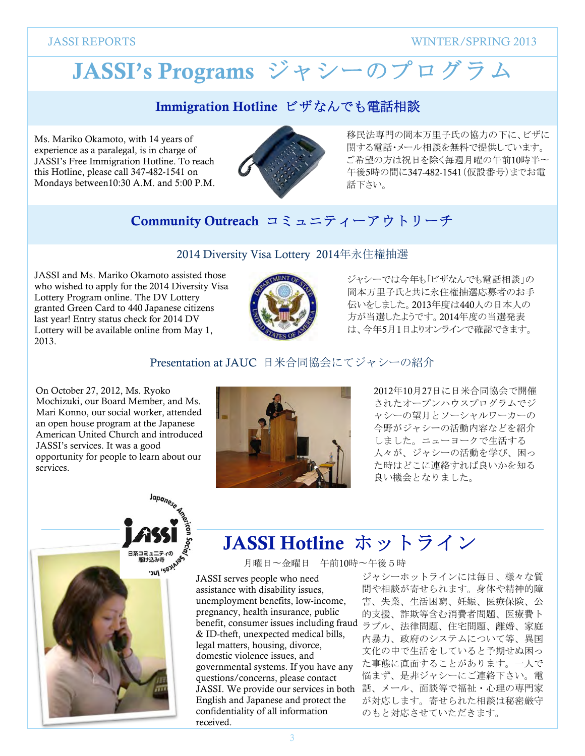**WINTER/SPRING 2013** 

# JASSI's Programs ジャシーのプログラム

# Immigration Hotline ビザなんでも電話相談

Ms. Mariko Okamoto, with 14 years of experience as a paralegal, is in charge of JASSI's Free Immigration Hotline. To reach this Hotline, please call 347-482-1541 on Mondays between 10:30 A.M. and 5:00 P.M.



移民法専門の岡本万里子氏の協力の下に、ビザに 関する電話・メール相談を無料で提供しています。 ご希望の方は祝日を除く毎週月曜の午前10時半~ 午後5時の間に347-482-1541 (仮設番号)までお電 話下さい。

# Community Outreach コミュニティーアウトリーチ

#### 2014 Diversity Visa Lottery 2014年永住権抽選

JASSI and Ms. Mariko Okamoto assisted those who wished to apply for the 2014 Diversity Visa Lottery Program online. The DV Lottery granted Green Card to 440 Japanese citizens last year! Entry status check for 2014 DV Lottery will be available online from May 1, 2013.



ジャシーでは今年も「ビザなんでも電話相談」の 岡本万里子氏と共に永住権抽選応募者のお手 伝いをしました。2013年度は440人の日本人の 方が当選したようです。2014年度の当選発表 は、今年5月1日よりオンラインで確認できます。

#### Presentation at JAUC 日米合同協会にてジャシーの紹介

On October 27, 2012, Ms. Ryoko Mochizuki, our Board Member, and Ms. Mari Konno, our social worker, attended an open house program at the Japanese American United Church and introduced JASSI's services. It was a good opportunity for people to learn about our services.



2012年10月27日に日米合同協会で開催 されたオープンハウスプログラムでジ ャシーの望月とソーシャルワーカーの 今野がジャシーの活動内容などを紹介 しました。ニューヨークで生活する 人々が、ジャシーの活動を学び、困っ た時はどこに連絡すれば良いかを知る 良い機会となりました。



# JASSI Hotline ホットライン

月曜日~金曜日 午前10時~午後5時

JASSI serves people who need assistance with disability issues. unemployment benefits, low-income, pregnancy, health insurance, public & ID-theft, unexpected medical bills, legal matters, housing, divorce, domestic violence issues, and governmental systems. If you have any questions/concerns, please contact English and Japanese and protect the confidentiality of all information received.

ジャシーホットラインには毎日、様々な質 間や相談が寄せられます。身体や精神的障 害、失業、生活困窮、妊娠、医療保険、公 的支援、詐欺等含む消費者問題、医療費ト benefit, consumer issues including fraud ラブル、法律問題、住宅問題、離婚、家庭 内暴力、政府のシステムについて等、異国 文化の中で生活をしていると予期せぬ困っ た事態に直面することがあります。一人で 悩まず、是非ジャシーにご連絡下さい。電 JASSI. We provide our services in both 話、メール、面談等で福祉・心理の専門家 が対応します。寄せられた相談は秘密厳守 のもと対応させていただきます。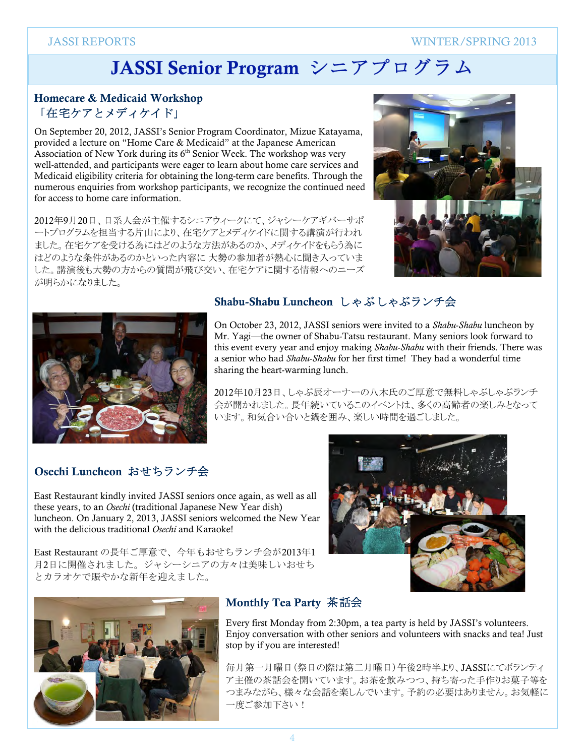**WINTER/SPRING 2013** 

# JASSI Senior Program シニアプログラム

#### Homecare & Medicaid Workshop 「在宅ケアとメディケイド」

On September 20, 2012, JASSI's Senior Program Coordinator, Mizue Katayama, provided a lecture on "Home Care & Medicaid" at the Japanese American Association of New York during its 6<sup>th</sup> Senior Week. The workshop was very well-attended, and participants were eager to learn about home care services and Medicaid eligibility criteria for obtaining the long-term care benefits. Through the numerous enquiries from workshop participants, we recognize the continued need for access to home care information.

2012年9月20日、日系人会が主催するシニアウィークにて、ジャシーケアギバーサポ ートプログラムを担当する片山により、在宅ケアとメディケイドに関する講演が行われ ました。在宅ケアを受ける為にはどのような方法があるのか、メディケイドをもらう為に はどのような条件があるのかといった内容に大勢の参加者が熱心に聞き入っていま した。講演後も大勢の方からの質問が飛び交い、在宅ケアに関する情報へのニーズ が明らかになりました。





#### Shabu-Shabu Luncheon しゃぶしゃぶランチ会

On October 23, 2012, JASSI seniors were invited to a Shabu-Shabu luncheon by Mr. Yagi-the owner of Shabu-Tatsu restaurant. Many seniors look forward to this event every year and enjoy making Shabu-Shabu with their friends. There was a senior who had Shabu-Shabu for her first time! They had a wonderful time sharing the heart-warming lunch.

2012年10月23日、しゃぶ辰オーナーの八木氏のご厚意で無料しゃぶしゃぶランチ 会が開かれました。長年続いているこのイベントは、多くの高齢者の楽しみとなって います。和気合い合いと鍋を囲み、楽しい時間を過ごしました。

## Osechi Luncheon おせちランチ会

East Restaurant kindly invited JASSI seniors once again, as well as all these years, to an Osechi (traditional Japanese New Year dish) luncheon. On January 2, 2013, JASSI seniors welcomed the New Year with the delicious traditional Osechi and Karaoke!

East Restaurant の長年ご厚意で、今年もおせちランチ会が2013年1 月2日に開催されました。ジャシーシニアの方々は美味しいおせち とカラオケで賑やかな新年を迎えました。





#### Monthly Tea Party 茶話会

Every first Monday from 2:30pm, a tea party is held by JASSI's volunteers. Enjoy conversation with other seniors and volunteers with snacks and tea! Just stop by if you are interested!

毎月第一月曜日(祭日の際は第二月曜日)午後2時半より、JASSIにてボランティ ア主催の茶話会を開いています。お茶を飲みつつ、持ち寄った手作りお菓子等を つまみながら、様々な会話を楽しんでいます。予約の必要はありません。お気軽に 一度ご参加下さい!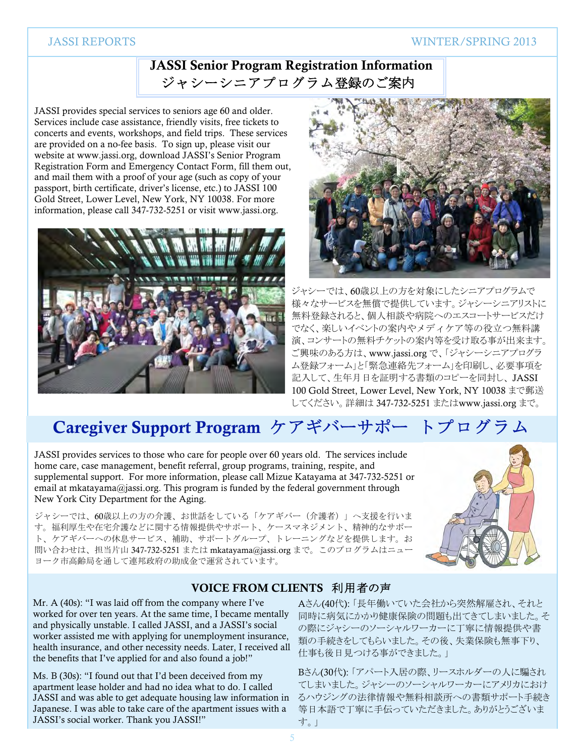#### **WINTER/SPRING 2013**

#### **JASSI REPORTS**

# **JASSI Senior Program Registration Information** ジャシーシニアプログラム登録のご案内

JASSI provides special services to seniors age 60 and older. Services include case assistance, friendly visits, free tickets to concerts and events, workshops, and field trips. These services are provided on a no-fee basis. To sign up, please visit our website at www.jassi.org, download JASSI's Senior Program Registration Form and Emergency Contact Form, fill them out, and mail them with a proof of your age (such as copy of your passport, birth certificate, driver's license, etc.) to JASSI 100 Gold Street, Lower Level, New York, NY 10038. For more information, please call 347-732-5251 or visit www.jassi.org.





ジャシーでは、60歳以上の方を対象にしたシニアプログラムで 様々なサービスを無償で提供しています。ジャシーシニアリストに 無料登録されると、個人相談や病院へのエスコートサービスだけ でなく、楽しいイベントの案内やメディケア等の役立つ無料講 演、コンサートの無料チケットの案内等を受け取る事が出来ます。 ご興味のある方は、www.jassi.org で、「ジャシーシニアプログラ ム登録フォーム」と「緊急連絡先フォーム」を印刷し、必要事項を 記入して、生年月日を証明する書類のコピーを同封し、JASSI 100 Gold Street. Lower Level. New York. NY 10038 まで郵送 してください。詳細は 347-732-5251 またはwww.jassi.org まで。

# Caregiver Support Program ケアギバーサポートプログラム

JASSI provides services to those who care for people over 60 years old. The services include home care, case management, benefit referral, group programs, training, respite, and supplemental support. For more information, please call Mizue Katayama at 347-732-5251 or email at mkatayama@jassi.org. This program is funded by the federal government through New York City Department for the Aging.

ジャシーでは、60歳以上の方の介護、お世話をしている「ケアギバー (介護者) 」へ支援を行いま す。福利厚生や在宅介護などに関する情報提供やサポート、ケースマネジメント、精神的なサポー ト、ケアギバーへの休息サービス、補助、サポートグループ、トレーニングなどを提供します。お 問い合わせは、担当片山 347-732-5251 または mkatavama@jassi.org まで。このプログラムはニュー ヨーク市高齢局を通して連邦政府の助成金で運営されています。



#### VOICE FROM CLIENTS 利用者の声

Mr. A (40s): "I was laid off from the company where I've worked for over ten years. At the same time, I became mentally and physically unstable. I called JASSI, and a JASSI's social worker assisted me with applying for unemployment insurance, health insurance, and other necessity needs. Later, I received all the benefits that I've applied for and also found a job!"

Ms. B (30s): "I found out that I'd been deceived from my apartment lease holder and had no idea what to do. I called JASSI and was able to get adequate housing law information in Japanese. I was able to take care of the apartment issues with a JASSI's social worker. Thank you JASSI!"

Aさん(40代):「長年働いていた会社から突然解雇され、それと 同時に病気にかかり健康保険の問題も出てきてしまいました。そ の際にジャシーのソーシャルワーカーに丁寧に情報提供や書 類の手続きをしてもらいました。その後、失業保険も無事下り、 仕事も後日見つける事ができました。」

Bさん(30代):「アパート入居の際、リースホルダーの人に騙され てしまいました。ジャシーのソーシャルワーカーにアメリカにおけ るハウジングの法律情報や無料相談所への書類サポート手続き 等日本語で丁寧に手伝っていただきました。ありがとうございま す。」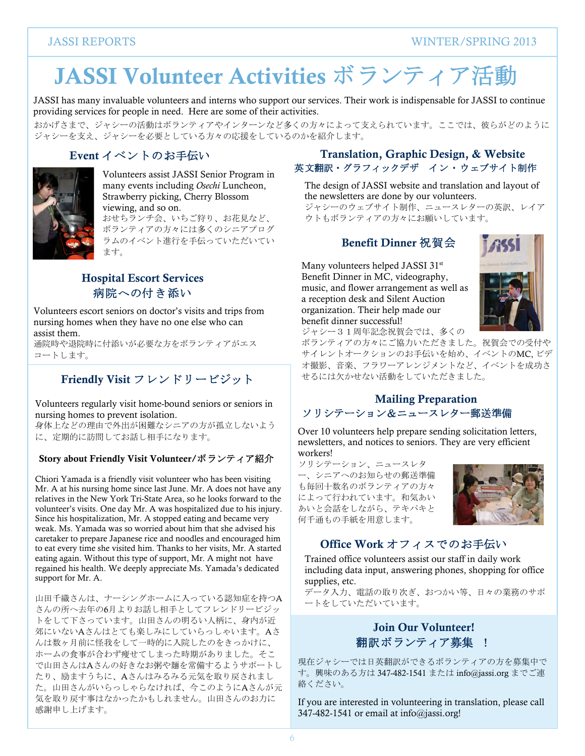# JASSI Volunteer Activities ボランティア活動

JASSI has many invaluable volunteers and interns who support our services. Their work is indispensable for JASSI to continue providing services for people in need. Here are some of their activities.

おかげさまで、ジャシーの活動はボランティアやインターンなど多くの方々によって支えられています。ここでは、彼らがどのように ジャシーを支え、ジャシーを必要としている方々の応援をしているのかを紹介します。

# Event イベントのお手伝い



Volunteers assist JASSI Senior Program in many events including Osechi Luncheon, Strawberry picking, Cherry Blossom viewing, and so on.

おせちランチ会、いちご狩り、お花見など、 ボランティアの方々には多くのシニアプログ ラムのイベント進行を手伝っていただいてい ます。

#### **Hospital Escort Services** 病院への付き添い

Volunteers escort seniors on doctor's visits and trips from nursing homes when they have no one else who can assist them.

通院時や退院時に付添いが必要な方をボランティアがエス コートします。

# Friendly Visit フレンドリービジット

Volunteers regularly visit home-bound seniors or seniors in nursing homes to prevent isolation.

身体上などの理由で外出が困難なシニアの方が孤立しないよう に、定期的に訪問してお話し相手になります。

#### Story about Friendly Visit Volunteer/ボランティア紹介

Chiori Yamada is a friendly visit volunteer who has been visiting Mr. A at his nursing home since last June. Mr. A does not have any relatives in the New York Tri-State Area, so he looks forward to the volunteer's visits. One day Mr. A was hospitalized due to his injury. Since his hospitalization, Mr. A stopped eating and became very weak. Ms. Yamada was so worried about him that she advised his caretaker to prepare Japanese rice and noodles and encouraged him to eat every time she visited him. Thanks to her visits, Mr. A started eating again. Without this type of support, Mr. A might not have regained his health. We deeply appreciate Ms. Yamada's dedicated support for Mr. A.

山田千織さんは、ナーシングホームに入っている認知症を持つA さんの所へ去年の6月よりお話し相手としてフレンドリービジッ トをして下さっています。山田さんの明るい人柄に、身内が近 郊にいないAさんはとても楽しみにしていらっしゃいます。Aさ んは数ヶ月前に怪我をして一時的に入院したのをきっかけに、 ホームの食事が合わず痩せてしまった時期がありました。そこ で山田さんはAさんの好きなお粥や麺を常備するようサポートし たり、励ますうちに、Aさんはみるみる元気を取り戻されまし た。山田さんがいらっしゃらなければ、今このようにAさんが元 気を取り戻す事はなかったかもしれません。山田さんのお力に 感謝申し上げます。

#### Translation, Graphic Design, & Website 英文翻訳・グラフィックデザ イン・ウェブサイト制作

The design of JASSI website and translation and layout of the newsletters are done by our volunteers.

ジャシーのウェブサイト制作、ニュースレターの英訳、レイア ウトもボランティアの方々にお願いしています。

# Benefit Dinner 祝智会

Many volunteers helped JASSI 31st Benefit Dinner in MC, videography, music, and flower arrangement as well as a reception desk and Silent Auction organization. Their help made our benefit dinner successful!



ジャシー31周年記念祝賀会では、多くの

ボランティアの方々にご協力いただきました。祝賀会での受付や サイレントオークションのお手伝いを始め、イベントのMC、ビデ オ撮影、音楽、フラワーアレンジメントなど、イベントを成功さ せるには欠かせない活動をしていただきました。

#### **Mailing Preparation** ソリシテーション&ニュースレター郵送準備

Over 10 volunteers help prepare sending solicitation letters, newsletters, and notices to seniors. They are very efficient workers!

ソリシテーション、ニュースレタ ー、シニアへのお知らせの郵送準備 も毎回十数名のボランティアの方々 によって行われています。和気あい あいと会話をしながら、テキパキと 何千通もの手紙を用意します。



## Office Work オフィスでのお手伝い

Trained office volunteers assist our staff in daily work including data input, answering phones, shopping for office supplies, etc.

データ入力、電話の取り次ぎ、おつかい等、日々の業務のサポ ートをしていただいています。

# **Join Our Volunteer!** 翻訳ボランティア募集 !

現在ジャシーでは日英翻訳ができるボランティアの方を募集中で す。興味のある方は 347-482-1541 または info@jassi.org までご連 絡ください。

If you are interested in volunteering in translation, please call 347-482-1541 or email at  $info(\hat{a})$  jassi.org!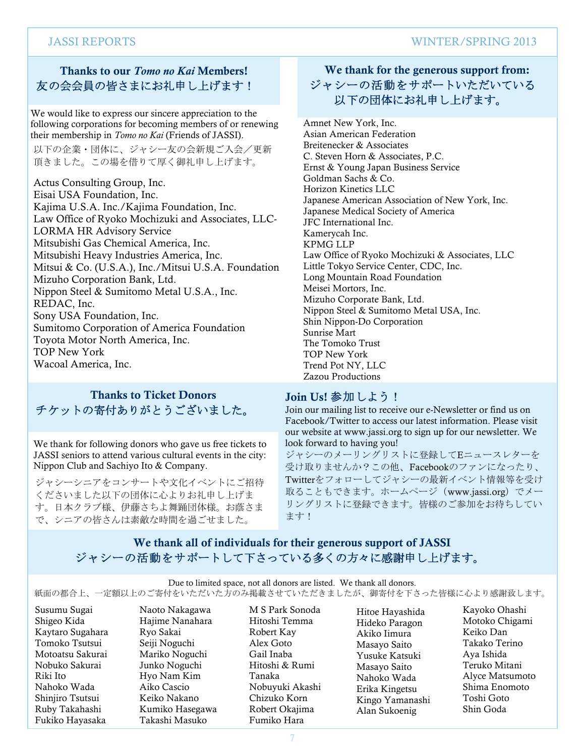# Thanks to our *Tomo no Kai* Members! 友の会会員の皆さまにお礼申し上げます!

We would like to express our sincere appreciation to the following corporations for becoming members of or renewing their membership in Tomo no Kai (Friends of JASSI).

以下の企業・団体に、ジャシー友の会新規ご入会/更新 頂きました。この場を借りて厚く御礼申し上げます。

Actus Consulting Group, Inc. Eisai USA Foundation, Inc. Kajima U.S.A. Inc./Kajima Foundation, Inc. Law Office of Ryoko Mochizuki and Associates, LLC-**LORMA HR Advisory Service** Mitsubishi Gas Chemical America, Inc. Mitsubishi Heavy Industries America, Inc. Mitsui & Co. (U.S.A.), Inc./Mitsui U.S.A. Foundation Mizuho Corporation Bank, Ltd. Nippon Steel & Sumitomo Metal U.S.A., Inc. REDAC, Inc. Sony USA Foundation, Inc. Sumitomo Corporation of America Foundation Toyota Motor North America, Inc. **TOP New York** Wacoal America, Inc.

#### **Thanks to Ticket Donors** チケットの寄付ありがとうございました。

We thank for following donors who gave us free tickets to JASSI seniors to attend various cultural events in the city: Nippon Club and Sachiyo Ito & Company.

ジャシーシニアをコンサートや文化イベントにご招待 くださいました以下の団体に心よりお礼申し上げま す。日本クラブ様、伊藤さちよ舞踊団体様。お蔭さま で、シニアの皆さんは素敵な時間を過ごせました。

## We thank for the generous support from: ジャシーの活動をサポートいただいている 以下の団体にお礼申し上げます。

Amnet New York, Inc. Asian American Federation Breitenecker & Associates C. Steven Horn & Associates, P.C. Ernst & Young Japan Business Service Goldman Sachs & Co. Horizon Kinetics LLC Japanese American Association of New York, Inc. Japanese Medical Society of America JFC International Inc. Kamerycah Inc. **KPMG LLP** Law Office of Ryoko Mochizuki & Associates, LLC Little Tokyo Service Center, CDC, Inc. Long Mountain Road Foundation Meisei Mortors, Inc. Mizuho Corporate Bank, Ltd. Nippon Steel & Sumitomo Metal USA, Inc. Shin Nippon-Do Corporation Sunrise Mart The Tomoko Trust TOP New York Trend Pot NY, LLC Zazou Productions

#### Join Us! 参加しよう!

Join our mailing list to receive our e-Newsletter or find us on Facebook/Twitter to access our latest information. Please visit our website at www.jassi.org to sign up for our newsletter. We look forward to having you!

ジャシーのメーリングリストに登録してEニュースレターを 受け取りませんか?この他、Facebookのファンになったり、 Twitterをフォローしてジャシーの最新イベント情報等を受け 取ることもできます。ホームページ (www.jassi.org) でメー リングリストに登録できます。皆様のご参加をお待ちしてい ます!

#### We thank all of individuals for their generous support of JASSI ジャシーの活動をサポートして下さっている多くの方々に感謝申し上げます。

Due to limited space, not all donors are listed. We thank all donors.

紙面の都合上、一定額以上のご寄付をいただいた方のみ掲載させていただきましたが、御寄付を下さった皆様に心より感謝致します。

Susumu Sugai Shigeo Kida Kaytaro Sugahara Tomoko Tsutsui Motoatsu Sakurai Nobuko Sakurai Riki Ito Nahoko Wada Shinjiro Tsutsui Ruby Takahashi Fukiko Hayasaka

Naoto Nakagawa Hajime Nanahara Ryo Sakai Seiji Noguchi Mariko Noguchi Junko Noguchi Hvo Nam Kim Aiko Cascio Keiko Nakano Kumiko Hasegawa Takashi Masuko

M S Park Sonoda Hitoshi Temma Robert Kay Alex Goto Gail Inaba Hitoshi & Rumi Tanaka Nobuvuki Akashi Chizuko Korn Robert Okajima Fumiko Hara

Hitoe Hayashida Hideko Paragon Akiko Iimura Masayo Saito Yusuke Katsuki Masayo Saito Nahoko Wada Erika Kingetsu Kingo Yamanashi Alan Sukoenig

Kayoko Ohashi Motoko Chigami Keiko Dan Takako Terino Ava Ishida Teruko Mitani Alvce Matsumoto Shima Enomoto Toshi Goto Shin Goda